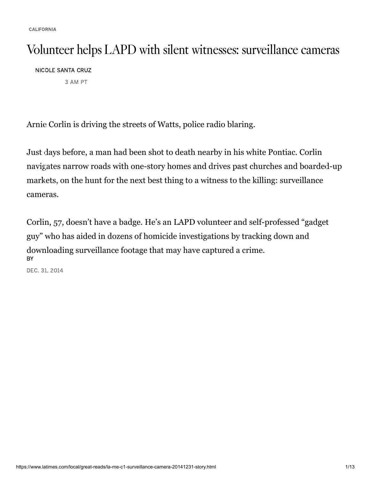CALIFORNIA

## Volunteer helps LAPD with silent witnesses: surveillance cameras

NICOLE SANTA CRUZ

3 AM PT

Arnie Corlin is driving the streets of Watts, police radio blaring.

Just days before, a man had been shot to death nearby in his white Pontiac. Corlin navigates narrow roads with one-story homes and drives past churches and boarded-up markets, on the hunt for the next best thing to a witness to the killing: surveillance cameras.

BY [Corlin, 57](https://www.latimes.com/california), doesn't have a badge. He's an LAPD volunteer and self-professed "gadget guy" who has aided in dozens of homicide investigations by tracking down and downloading surveillance footage that may have captured a crime.

DEC. 31, 2014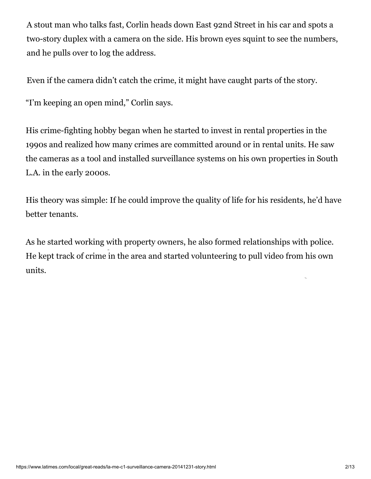A stout man who talks fast, Corlin heads down East 92nd Street in his car and spots a two-story duplex with a camera on the side. His brown eyes squint to see the numbers, and he pulls over to log the address.

Even if the camera didn't catch the crime, it might have caught parts of the story.

"I'm keeping an open mind," Corlin says.

His crime-fighting hobby began when he started to invest in rental properties in the 1990s and realized how many crimes are committed around or in rental units. He saw the cameras as a tool and installed surveillance systems on his own properties in South L.A. in the early 2000s.

His theory was simple: If he could improve the quality of life for his residents, he'd have better tenants.

As he started working with property owners, he also formed relationships with police. He kept t[rack of crime in the area and started volunteering to pull video from hi](https://rtb-us-east.linkedin.com/lax/clk?trk=CwEAAAGBY6YjZWhV9X8QRB8rAxjk_Gn9T8c_cbuuiHsADPhj_FhMyFsQm7Fe3QSaOZ3msIKlqk0DbLwb5hxLTmPDw6ZeSUE6KuRKx1Hn1_RRrExwZQz1LbLV0Tls9MgA3AorPwZgf_oujlUZ813EftFu8xZjoMTohPs0KWN0slntBF5UZwAdZt4PsMbDljoXTGfrATchnDiXnA4qPiP3GEwIK1O1qjr5EB941y5oLZqR1PMFLewRIxOE7d2lNUbGayMG-oYzJAPqFugO5zUQJMY0IjvYEHPvg0YraAGxsFA8jJa3Oolzdr3fpmGkbvEbu9wNRSGTyeS9Fv6PqpiClwuQrxeO95IR1PAFsuPmz5haAuuBRpEsKUs8S-orPYkQT_F6KPxsZUiNsebjWA7v4Vphq_62H8QKieo1d51eHElHWG-XEi3o_vqsjK6FDbVaD7AKlEDpdIkO7HNu_U5byDomLzzXymtMp2Bq0WtxCNSJB45P3dv0t0Gbm_gUESX6Aprgit6owNk6x987ZZUhrhREhAU6DVlZaT7ARaxXE53zSa80fan3P9-w06-CdSEZLQWbsuPmBWuoysYga48I0Ej_b3JnSl0j-z73MFYzDoq35hXApPC2kxCNXBmmCV_4PHCI6MXruaGmljxx2PetVg2WRfA_CXkxlOZRs17p-J5N1QPYweQBOGX6RztZAdmwNCpRnKQZgDpmsS3-BPzYzARvXotIQJXGXHB5ikOOP6NhzkRqqx7k1xS33MWaN0c2PAixgJlM6EjZfnD0cZJl1-AA1xhzo5svxzKV14M0ZhBddpo4vbuVL_BPe0a3pkNjeUarUvNZNlTDvR2HWK07sGpRju9oNcALrOMALvquDf66jttoF3CaCzuVzDasAwQmA0TtI00wUlABHJm6Dl_jAcqIH2gqg2WkaZLnf4MM0H2Qri1np6TccWPhOS7Ou1_PXbYsWKQGqJ7jT4l68-Re-Rl1mhnpdjicCWhdum5XoJNX5LSnDDllVlJlG04_2zZ-ibpA7dpHdbeFECZ_2w0Wn7ufpB7gYAmrVsu65heXaNVk1gFiesk3DGyBZAkeGgVIO_VIClRVZJaoAX5ijiWssNR1XScJ0Oj5o5-VNIjsm_3ZJFx95MW20sFT_sweaGOTLvzmcDGE2OOWIKUpSdS64gXt5ILlrnCNHOhzB_dm7XIgdlioGcBav8OAP9pKMhhCZViEueZreY7fT1CCpucXr0nV9jvcTydWzggr1eMkz_6OKW55rXc3hW8rvVASm698OTvGPz14rigbAlJYH-Iac-csOGh3E5AVNBVd5oaToLrQElEqdS-QJWw9hM56bR6xlE5wIbBMeHhTh7r2ZmoZCh3X6YOrlXlSKlAMY6GKeS1njcUlZWNbg3D_CisZGdiAlXt7GRx0K9SOs4RXgDCBvcGjqenQcFjK&action=click&laxrid=0079dfc2-a04f-4f0c-8b34-81d504aa51b6&laxbid=2&eid=10&crtype=su&laxerid=1bdfdda7-fb19-45bb-9880-035b6238c1a9&adfmt=1&urle=CwEAAAGBY6YjZ5ZXlTq-_04q0pIaWfY20DTECFbNSXkr247nH70_flLY8yDn4zUqKMHEJk1L98Mu3zN0fXgvYU38z3j8nwPBlqgXabvPJNLVC8KvnEGh_MZARhJheKfJDJr2xuDEgt7odXsK4VlfM8eqI6L78rAmBxM2_tG6vzNDZOUAJAiRKX1DE3o&urlhash=WqGR)s own units.

t,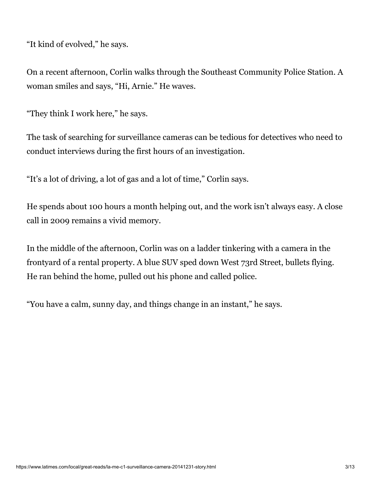"It kind of evolved," he says.

On a recent afternoon, Corlin walks thro[ugh the Southeast Community Police Station. A](https://jadserve.postrelease.com/trk?ntv_at=3&ntv_ui=7d281fa6-5e60-486b-9932-1d49b678a942&ntv_a=CZEHAAxZVAFH8QA&ntv_fl=uIIDCygTF6q3-1MVValiIZ6YIrBGGQb1JbiIoBO8PxKocZnM-0TrqtZdd8PTdwk3x2y1o9QJUBIp4nV0OtJ4MFB4v_RfmyIib1OZ6Abs9fNXUuDyZAJBhvZdmElKoEF-k0Lo0FCxtqpXJSf3EUk35R8Fxfm9ApQ-exnKj7Mxoph0yA-3LBlnBy6y9cA4ZqYIXOsZY4Gkn98mZdzXF00lcCbetCwPU-Vy_iqPPDesU30qtQGiJVbDqmTM5uCTHIoUKWyg6VvCMRBeSZZbJNidolnzSz-DjmpjSHSoyskBWcKFgYMtFfH6ErlaeYg1GdXR&ord=-1724215475&ntv_ht=xd6oYgA&ntv_tad=16) woman smiles and says, "Hi, Arnie." He waves.

"They think I work here," he says.

The task of searching for surveillance cameras can be tedious for detectives who need to conduct interviews during the first hours of an investigation.

"It's a lot of driving, a lot of gas and a lot of time," Corlin says.

He spends about 100 hours a month helping out, and the work isn't always easy. A close call in 2009 remains a vivid memory.

In the middle of the afternoon, Corlin was on a ladder tinkering with a camera in the frontyard of a rental property. A blue SUV sped down West 73rd Street, bullets flying. He ran behind the home, pulled out his phone and called police.

"You have a calm, sunny day, and things change in an instant," he says.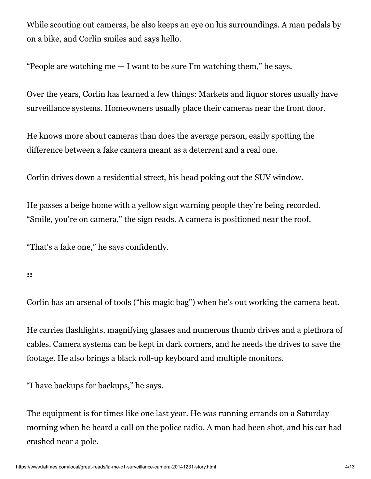While scouting out cameras, he also keeps an eye on his surroundings. A man pedals by on a bike, and Corlin smiles and says hello.

"People are watching me  $-1$  want to be sure I'm watching them," he says.

Over the years, Corlin has learned a few things: Markets and liquor stores usually have surveillance systems. Homeowners usually place their cameras near the front door.

He knows more about cameras than does the average person, easily spotting the difference between a fake camera meant as a deterrent and a real one.

Corlin drives down a residential street, his head poking out the SUV window.

He passes a beige home with a yellow sign warning people they're being recorded. "Smile, you're on camera," the sign reads. A camera is positioned near the roof.

"That's a fake one," he says confidently.

**::**

Corlin has an arsenal of tools ("his magic bag") when he's out working the camera beat.

He carries flashlights, magnifying glasses and numerous thumb drives and a plethora of cables. Camera systems can be kept in dark corners, and he needs the drives to save the footage. He also brings a black roll-up keyboard and multiple monitors.

"I have backups for backups," he says.

The equipment is for times like one last year. He was running errands on a Saturday morning when he heard a call on the police radio. A man had been shot, and his car had crashed near a pole.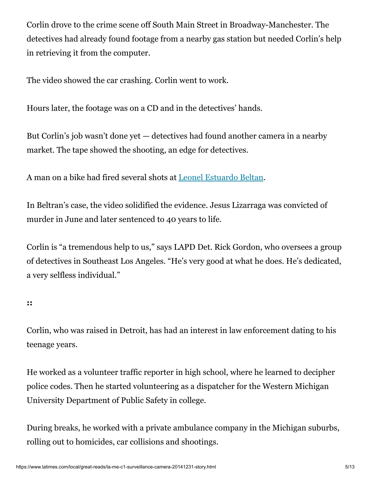Corlin drove to the crime scene off South Main Street in Broadway-Manchester. The detectives had already found footage from a nearby gas station but needed Corlin's help in retrieving it from the computer.

The video showed the car crashing. Corlin went to work.

Hours later, the footage was on a CD and in the detectives' hands.

But Corlin's job wasn't done yet — detectives had found another camera in a nearby market. The tape showed the shooting, an edge for detectives.

A man on a bike had fired several shots at [Leonel Estuardo Beltan.](https://homicide.latimes.com/post/leonel-estuardo-beltran/)

In Beltran's case, the video solidified the evidence. Jesus Lizarraga was convicted of murder in June and later sentenced to 40 years to life.

Corlin is "a tremendous help to us," says LAPD Det. Rick Gordon, who oversees a group of detectives in Southeast Los Angeles. "He's very good at what he does. He's dedicated, a very selfless individual."

**::**

Corlin, who was raised in Detroit, has had an interest in law enforcement dating to his teenage years.

He worked as a volunteer traffic reporter in high school, where he learned to decipher police codes. Then he started volunteering as a dispatcher for the Western Michigan University Department of Public Safety in college.

During breaks, he worked with a private ambulance company in the Michigan suburbs, rolling out to homicides, car collisions and shootings.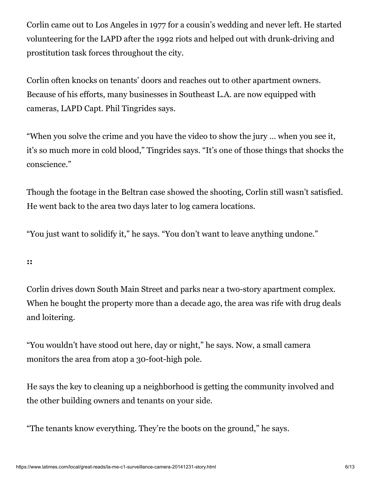Corlin came out to Los Angeles in 1977 for a cousin's wedding and never left. He started volunteering for the LAPD after the 1992 riots and helped out with drunk-driving and prostitution task forces throughout the city.

Corlin often knocks on tenants' doors and reaches out to other apartment owners. Because of his efforts, many businesses in Southeast L.A. are now equipped with cameras, LAPD Capt. Phil Tingrides says.

"When you solve the crime and you have the video to show the jury … when you see it, it's so much more in cold blood," Tingrides says. "It's one of those things that shocks the conscience."

Though the footage in the Beltran case showed the shooting, Corlin still wasn't satisfied. He went back to the area two days later to log camera locations.

"You just want to solidify it," he says. "You don't want to leave anything undone."

**::**

Corlin drives down South Main Street and parks near a two-story apartment complex. When he bought the property more than a decade ago, the area was rife with drug deals and loitering.

"You wouldn't have stood out here, day or night," he says. Now, a small camera monitors the area from atop a 30-foot-high pole.

He says the key to cleaning up a neighborhood is getting the community involved and the other building owners and tenants on your side.

"The tenants know everything. They're the boots on the ground," he says.